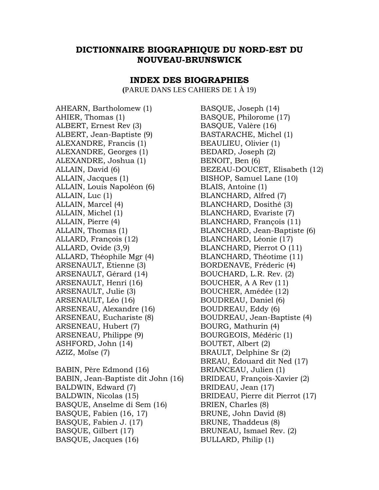## **DICTIONNAIRE BIOGRAPHIQUE DU NORD-EST DU NOUVEAU-BRUNSWICK**

## **INDEX DES BIOGRAPHIES**

**(**PARUE DANS LES CAHIERS DE 1 À 19)

AHEARN, Bartholomew (1) AHIER, Thomas (1) ALBERT, Ernest Rev (3) ALBERT, Jean-Baptiste (9) ALEXANDRE, Francis (1) ALEXANDRE, Georges (1) ALEXANDRE, Joshua (1) ALLAIN, David (6) ALLAIN, Jacques (1) ALLAIN, Louis Napoléon (6) ALLAIN, Luc (1) ALLAIN, Marcel (4) ALLAIN, Michel (1) ALLAIN, Pierre (4) ALLAIN, Thomas (1) ALLARD, François (12) ALLARD, Ovide (3,9) ALLARD, Théophile Mgr (4) ARSENAULT, Etienne (3) ARSENAULT, Gérard (14) ARSENAULT, Henri (16) ARSENAULT, Julie (3) ARSENAULT, Léo (16) ARSENEAU, Alexandre (16) ARSENEAU, Euchariste (8) ARSENEAU, Hubert (7) ARSENEAU, Philippe (9) ASHFORD, John (14) AZIZ, Moïse (7)

BABIN, Père Edmond (16) BABIN, Jean-Baptiste dit John (16) BALDWIN, Edward (7) BALDWIN, Nicolas (15) BASQUE, Anselme di Sem (16) BASQUE, Fabien (16, 17) BASQUE, Fabien J. (17) BASQUE, Gilbert (17) BASQUE, Jacques (16)

BASQUE, Joseph (14) BASQUE, Philorome (17) BASQUE, Valère (16) BASTARACHE, Michel (1) BEAULIEU, Olivier (1) BEDARD, Joseph (2) BENOIT, Ben (6) BEZEAU-DOUCET, Elisabeth (12) BISHOP, Samuel Lane (10) BLAIS, Antoine (1) BLANCHARD, Alfred (7) BLANCHARD, Dosithé (3) BLANCHARD, Evariste (7) BLANCHARD, François (11) BLANCHARD, Jean-Baptiste (6) BLANCHARD, Léonie (17) BLANCHARD, Pierrot O (11) BLANCHARD, Théotime (11) BORDENAVE, Fréderic (4) BOUCHARD, L.R. Rev. (2) BOUCHER, A A Rev (11) BOUCHER, Amédée (12) BOUDREAU, Daniel (6) BOUDREAU, Eddy (6) BOUDREAU, Jean-Baptiste (4) BOURG, Mathurin (4) BOURGEOIS, Médéric (1) BOUTET, Albert (2) BRAULT, Delphine Sr (2) BREAU, Édouard dit Ned (17) BRIANCEAU, Julien (1) BRIDEAU, François-Xavier (2) BRIDEAU, Jean (17) BRIDEAU, Pierre dit Pierrot (17) BRIEN, Charles (8) BRUNE, John David (8) BRUNE, Thaddeus (8) BRUNEAU, Ismael Rev. (2) BULLARD, Philip (1)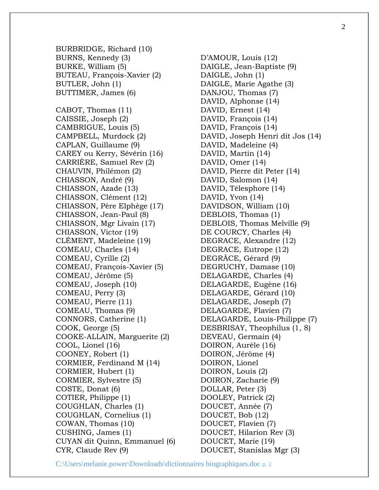BURBRIDGE, Richard (10) BURNS, Kennedy (3) BURKE, William (5) BUTEAU, François-Xavier (2) BUTLER, John (1) BUTTIMER, James (6) CABOT, Thomas (11) CAISSIE, Joseph (2) CAMBRIGUE, Louis (5) CAMPBELL, Murdock (2) CAPLAN, Guillaume (9) CAREY ou Kerry, Sévérin (16) CARRIÈRE, Samuel Rev (2) CHAUVIN, Philémon (2) CHIASSON, André (9) CHIASSON, Azade (13) CHIASSON, Clément (12) CHIASSON, Père Elphège (17) CHIASSON, Jean-Paul (8) CHIASSON, Mgr Livain (17) CHIASSON, Victor (19) CLÉMENT, Madeleine (19) COMEAU, Charles (14) COMEAU, Cyrille (2) COMEAU, François-Xavier (5) COMEAU, Jérôme (5) COMEAU, Joseph (10) COMEAU, Perry (3) COMEAU, Pierre (11) COMEAU, Thomas (9) CONNORS, Catherine (1) COOK, George (5) COOKE-ALLAIN, Marguerite (2) COOL, Lionel (16) COONEY, Robert (1) CORMIER, Ferdinand M (14) CORMIER, Hubert (1) CORMIER, Sylvestre (5) COSTE, Donat (6) COTIER, Philippe (1) COUGHLAN, Charles (1) COUGHLAN, Cornelius (1) COWAN, Thomas (10) CUSHING, James (1) CUYAN dit Quinn, Emmanuel (6) CYR, Claude Rev (9)

D'AMOUR, Louis (12) DAIGLE, Jean-Baptiste (9) DAIGLE, John (1) DAIGLE, Marie Agathe (3) DANJOU, Thomas (7) DAVID, Alphonse (14) DAVID, Ernest (14) DAVID, François (14) DAVID, François (14) DAVID, Joseph Henri dit Jos (14) DAVID, Madeleine (4) DAVID, Martin (14) DAVID, Omer (14) DAVID, Pierre dit Peter (14) DAVID, Salomon (14) DAVID, Télesphore (14) DAVID, Yvon (14) DAVIDSON, William (10) DEBLOIS, Thomas (1) DEBLOIS, Thomas Melville (9) DE COURCY, Charles (4) DEGRACE, Alexandre (12) DEGRACE, Eutrope (12) DEGRÂCE, Gérard (9) DEGRUCHY, Damase (10) DELAGARDE, Charles (4) DELAGARDE, Eugène (16) DELAGARDE, Gérard (10) DELAGARDE, Joseph (7) DELAGARDE, Flavien (7) DELAGARDE, Louis-Philippe (7) DESBRISAY, Theophilus (1, 8) DEVEAU, Germain (4) DOIRON, Aurèle (16) DOIRON, Jérôme (4) DOIRON, Lionel DOIRON, Louis (2) DOIRON, Zacharie (9) DOLLAR, Peter (3) DOOLEY, Patrick (2) DOUCET, Année (7) DOUCET, Bob (12) DOUCET, Flavien (7) DOUCET, Hilarion Rev (3) DOUCET, Marie (19) DOUCET, Stanislas Mgr (3)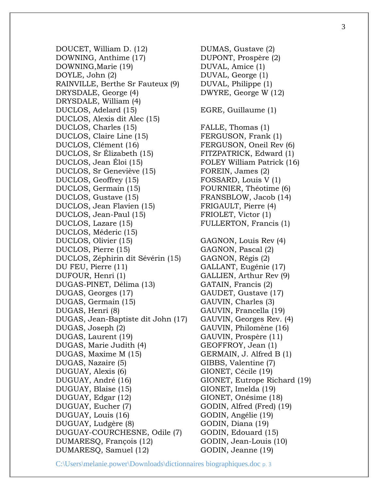DOUCET, William D. (12) DOWNING, Anthime (17) DOWNING,Marie (19) DOYLE, John (2) RAINVILLE, Berthe Sr Fauteux (9) DRYSDALE, George (4) DRYSDALE, William (4) DUCLOS, Adelard (15) DUCLOS, Alexis dit Alec (15) DUCLOS, Charles (15) DUCLOS, Claire Line (15) DUCLOS, Clément (16) DUCLOS, Sr Élizabeth (15) DUCLOS, Jean Éloi (15) DUCLOS, Sr Geneviève (15) DUCLOS, Geoffrey (15) DUCLOS, Germain (15) DUCLOS, Gustave (15) DUCLOS, Jean Flavien (15) DUCLOS, Jean-Paul (15) DUCLOS, Lazare (15) DUCLOS, Méderic (15) DUCLOS, Olivier (15) DUCLOS, Pierre (15) DUCLOS, Zéphirin dit Sévérin (15) DU FEU, Pierre (11) DUFOUR, Henri (1) DUGAS-PINET, Délima (13) DUGAS, Georges (17) DUGAS, Germain (15) DUGAS, Henri (8) DUGAS, Jean-Baptiste dit John (17) DUGAS, Joseph (2) DUGAS, Laurent (19) DUGAS, Marie Judith (4) DUGAS, Maxime M (15) DUGAS, Nazaire (5) DUGUAY, Alexis (6) DUGUAY, André (16) DUGUAY, Blaise (15) DUGUAY, Edgar (12) DUGUAY, Eucher (7) DUGUAY, Louis (16) DUGUAY, Ludgère (8) DUGUAY-COURCHESNE, Odile (7) DUMARESQ, François (12) DUMARESQ, Samuel (12)

DUMAS, Gustave (2) DUPONT, Prospère (2) DUVAL, Amice (1) DUVAL, George (1) DUVAL, Philippe (1) DWYRE, George W (12) EGRE, Guillaume (1) FALLE, Thomas (1) FERGUSON, Frank (1) FERGUSON, Oneil Rev (6) FITZPATRICK, Edward (1) FOLEY William Patrick (16) FOREIN, James (2) FOSSARD, Louis V (1) FOURNIER, Théotime (6) FRANSBLOW, Jacob (14) FRIGAULT, Pierre (4) FRIOLET, Victor (1) FULLERTON, Francis (1) GAGNON, Louis Rev (4) GAGNON, Pascal (2) GAGNON, Régis (2) GALLANT, Eugénie (17) GALLIEN, Arthur Rev (9) GATAIN, Francis (2) GAUDET, Gustave (17) GAUVIN, Charles (3) GAUVIN, Francella (19) GAUVIN, Georges Rev. (4) GAUVIN, Philomène (16) GAUVIN, Prospère (11) GEOFFROY, Jean (1) GERMAIN, J. Alfred B (1) GIBBS, Valentine (7) GIONET, Cécile (19) GIONET, Eutrope Richard (19) GIONET, Imelda (19) GIONET, Onésime (18) GODIN, Alfred (Fred) (19) GODIN, Angélie (19) GODIN, Diana (19) GODIN, Edouard (15) GODIN, Jean-Louis (10) GODIN, Jeanne (19)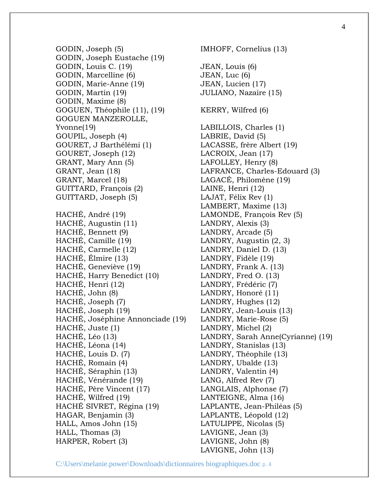GODIN, Joseph (5) GODIN, Joseph Eustache (19) GODIN, Louis C. (19) GODIN, Marcelline (6) GODIN, Marie-Anne (19) GODIN, Martin (19) GODIN, Maxime (8) GOGUEN, Théophile (11), (19) GOGUEN MANZEROLLE, Yvonne(19) GOUPIL, Joseph (4) GOURET, J Barthélémi (1) GOURET, Joseph (12) GRANT, Mary Ann (5) GRANT, Jean (18) GRANT, Marcel (18) GUITTARD, François (2) GUITTARD, Joseph (5) HACHÉ, André (19) HACHÉ, Augustin (11) HACHÉ, Bennett (9) HACHÉ, Camille (19) HACHÉ, Carmelle (12) HACHÉ, Élmire (13) HACHÉ, Geneviève (19) HACHÉ, Harry Benedict (10) HACHÉ, Henri (12) HACHÉ, John (8) HACHÉ, Joseph (7) HACHÉ, Joseph (19) HACHÉ, Joséphine Annonciade (19) HACHÉ, Juste (1) HACHÉ, Léo (13) HACHÉ, Léona (14) HACHÉ, Louis D. (7) HACHÉ, Romain (4) HACHÉ, Séraphin (13) HACHÉ, Vénérande (19) HACHÉ, Père Vincent (17) HACHÉ, Wilfred (19) HACHÉ SIVRET, Régina (19) HAGAR, Benjamin (3) HALL, Amos John (15) HALL, Thomas (3) HARPER, Robert (3)

IMHOFF, Cornelius (13) JEAN, Louis (6) JEAN, Luc (6) JEAN, Lucien (17) JULIANO, Nazaire (15) KERRY, Wilfred (6) LABILLOIS, Charles (1) LABRIE, David (5) LACASSE, frère Albert (19) LACROIX, Jean (17) LAFOLLEY, Henry (8) LAFRANCE, Charles-Edouard (3) LAGACÉ, Philomène (19) LAINE, Henri (12) LAJAT, Félix Rev (1) LAMBERT, Maxime (13) LAMONDE, François Rev (5) LANDRY, Alexis (3) LANDRY, Arcade (5) LANDRY, Augustin (2, 3) LANDRY, Daniel D. (13) LANDRY, Fidèle (19) LANDRY, Frank A. (13) LANDRY, Fred O. (13) LANDRY, Frédéric (7) LANDRY, Honoré (11) LANDRY, Hughes (12) LANDRY, Jean-Louis (13) LANDRY, Marie-Rose (5) LANDRY, Michel (2) LANDRY, Sarah Anne(Cyrianne) (19) LANDRY, Stanislas (13) LANDRY, Théophile (13) LANDRY, Ubalde (13) LANDRY, Valentin (4) LANG, Alfred Rev (7) LANGLAIS, Alphonse (7) LANTEIGNE, Alma (16) LAPLANTE, Jean-Philéas (5) LAPLANTE, Léopold (12) LATULIPPE, Nicolas (5) LAVIGNE, Jean (3) LAVIGNE, John (8) LAVIGNE, John (13)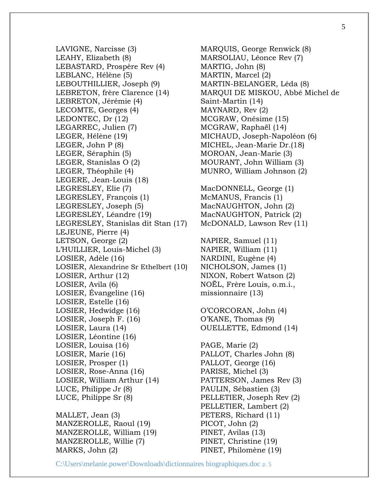LAVIGNE, Narcisse (3) LEAHY, Elizabeth (8) LEBASTARD, Prospère Rev (4) LEBLANC, Hélène (5) LEBOUTHILLIER, Joseph (9) LEBRETON, frère Clarence (14) LEBRETON, Jérémie (4) LECOMTE, Georges (4) LEDONTEC, Dr (12) LEGARREC, Julien (7) LEGER, Hélène (19) LEGER, John P (8) LEGER, Séraphin (5) LEGER, Stanislas O (2) LEGER, Théophile (4) LEGERE, Jean-Louis (18) LEGRESLEY, Elie (7) LEGRESLEY, François (1) LEGRESLEY, Joseph (5) LEGRESLEY, Léandre (19) LEGRESLEY, Stanislas dit Stan (17) LEJEUNE, Pierre (4) LETSON, George (2) L'HUILLIER, Louis-Michel (3) LOSIER, Adèle (16) LOSIER, Alexandrine Sr Ethelbert (10) LOSIER, Arthur (12) LOSIER, Avila (6) LOSIER, Évangeline (16) LOSIER, Estelle (16) LOSIER, Hedwidge (16) LOSIER, Joseph F. (16) LOSIER, Laura (14) LOSIER, Léontine (16) LOSIER, Louisa (16) LOSIER, Marie (16) LOSIER, Prosper (1) LOSIER, Rose-Anna (16) LOSIER, William Arthur (14) LUCE, Philippe Jr (8) LUCE, Philippe Sr (8)

MALLET, Jean (3) MANZEROLLE, Raoul (19) MANZEROLLE, William (19) MANZEROLLE, Willie (7) MARKS, John (2)

MARQUIS, George Renwick (8) MARSOLIAU, Léonce Rev (7) MARTIG, John (8) MARTIN, Marcel (2) MARTIN-BELANGER, Léda (8) MARQUI DE MISKOU, Abbé Michel de Saint-Martin (14) MAYNARD, Rev (2) MCGRAW, Onésime (15) MCGRAW, Raphaël (14) MICHAUD, Joseph-Napoléon (6) MICHEL, Jean-Marie Dr.(18) MOROAN, Jean-Marie (3) MOURANT, John William (3) MUNRO, William Johnson (2) MacDONNELL, George (1) McMANUS, Francis (1) MacNAUGHTON, John (2) MacNAUGHTON, Patrick (2) McDONALD, Lawson Rev (11) NAPIER, Samuel (11) NAPIER, William (11) NARDINI, Eugène (4) NICHOLSON, James (1) NIXON, Robert Watson (2) NOËL, Frère Louis, o.m.i., missionnaire (13) O'CORCORAN, John (4) O'KANE, Thomas (9) OUELLETTE, Edmond (14) PAGE, Marie (2) PALLOT, Charles John (8) PALLOT, George (16) PARISE, Michel (3) PATTERSON, James Rev (3) PAULIN, Sébastien (3) PELLETIER, Joseph Rev (2) PELLETIER, Lambert (2) PETERS, Richard (11) PICOT, John (2) PINET, Avilas (13) PINET, Christine (19)

PINET, Philomène (19)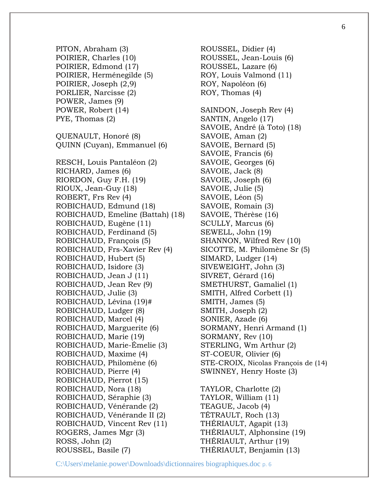PITON, Abraham (3) POIRIER, Charles (10) POIRIER, Edmond (17) POIRIER, Herménegilde (5) POIRIER, Joseph (2,9) PORLIER, Narcisse (2) POWER, James (9) POWER, Robert (14) PYE, Thomas (2) QUENAULT, Honoré (8) QUINN (Cuyan), Emmanuel (6) RESCH, Louis Pantaléon (2) RICHARD, James (6) RIORDON, Guy F.H. (19) RIOUX, Jean-Guy (18) ROBERT, Frs Rev (4) ROBICHAUD, Edmund (18) ROBICHAUD, Emeline (Battah) (18) ROBICHAUD, Eugène (11) ROBICHAUD, Ferdinand (5) ROBICHAUD, François (5) ROBICHAUD, Frs-Xavier Rev (4) ROBICHAUD, Hubert (5) ROBICHAUD, Isidore (3) ROBICHAUD, Jean J (11) ROBICHAUD, Jean Rev (9) ROBICHAUD, Julie (3) ROBICHAUD, Lévina (19)# ROBICHAUD, Ludger (8) ROBICHAUD, Marcel (4) ROBICHAUD, Marguerite (6) ROBICHAUD, Marie (19) ROBICHAUD, Marie-Émelie (3) ROBICHAUD, Maxime (4) ROBICHAUD, Philomène (6) ROBICHAUD, Pierre (4) ROBICHAUD, Pierrot (15) ROBICHAUD, Nora (18) ROBICHAUD, Séraphie (3) ROBICHAUD, Vénérande (2) ROBICHAUD, Vénérande II (2) ROBICHAUD, Vincent Rev (11) ROGERS, James Mgr (3) ROSS, John (2) ROUSSEL, Basile (7)

ROUSSEL, Didier (4) ROUSSEL, Jean-Louis (6) ROUSSEL, Lazare (6) ROY, Louis Valmond (11) ROY, Napoléon (6) ROY, Thomas (4) SAINDON, Joseph Rev (4) SANTIN, Angelo (17) SAVOIE, André (à Toto) (18) SAVOIE, Aman (2) SAVOIE, Bernard (5) SAVOIE, Francis (6) SAVOIE, Georges (6) SAVOIE, Jack (8) SAVOIE, Joseph (6) SAVOIE, Julie (5) SAVOIE, Léon (5) SAVOIE, Romain (3) SAVOIE, Thérèse (16) SCULLY, Marcus (6) SEWELL, John (19) SHANNON, Wilfred Rev (10) SICOTTE, M. Philomène Sr (5) SIMARD, Ludger (14) SIVEWEIGHT, John (3) SIVRET, Gérard (16) SMETHURST, Gamaliel (1) SMITH, Alfred Corbett (1) SMITH, James (5) SMITH, Joseph (2) SONIER, Azade (6) SORMANY, Henri Armand (1) SORMANY, Rev (10) STERLING, Wm Arthur (2) ST-COEUR, Olivier (6) STE-CROIX, Nicolas François de (14) SWINNEY, Henry Hoste (3) TAYLOR, Charlotte (2) TAYLOR, William (11) TEAGUE, Jacob (4) TÉTRAULT, Roch (13) THÉRIAULT, Agapit (13) THÉRIAULT, Alphonsine (19) THÉRIAULT, Arthur (19) THÉRIAULT, Benjamin (13)